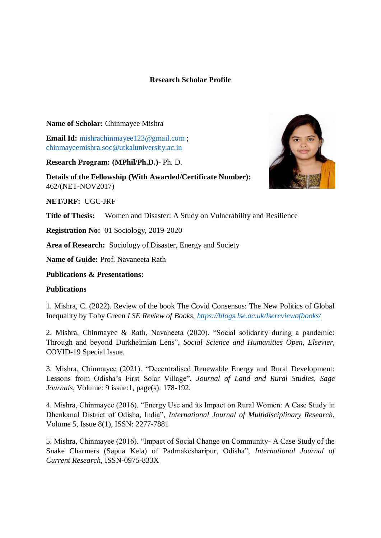# **Research Scholar Profile**

#### **Name of Scholar:** Chinmayee Mishra

**Email Id:** [mishrachinmayee123@gmail.com](mailto:mishrachinmayee123@gmail.com); [chinmayeemishra.soc@utkaluniversity.ac.in](mailto:chinmayeemishra.soc@utkaluniversity.ac.in)

**Research Program: (MPhil/Ph.D.)-** Ph. D.

**Details of the Fellowship (With Awarded/Certificate Number):**  462/(NET-NOV2017)

**NET/JRF:** UGC-JRF

**Title of Thesis:** Women and Disaster: A Study on Vulnerability and Resilience

**Registration No:** 01 Sociology, 2019-2020

**Area of Research:** Sociology of Disaster, Energy and Society

**Name of Guide:** Prof. Navaneeta Rath

**Publications & Presentations:**

#### **Publications**

1. Mishra, C. (2022). Review of the book The Covid Consensus: The New Politics of Global Inequality by Toby Green *LSE Review of Books,<https://blogs.lse.ac.uk/lsereviewofbooks/>*

2. Mishra, Chinmayee & Rath, Navaneeta (2020). "Social solidarity during a pandemic: Through and beyond Durkheimian Lens", *Social Science and Humanities Open, Elsevier*, COVID-19 Special Issue.

3. Mishra, Chinmayee (2021). "Decentralised Renewable Energy and Rural Development: Lessons from Odisha's First Solar Village", *Journal of Land and Rural Studies, Sage Journals*, Volume: 9 issue:1, page(s): 178-192.

4. Mishra, Chinmayee (2016). "Energy Use and its Impact on Rural Women: A Case Study in Dhenkanal District of Odisha, India", *International Journal of Multidisciplinary Research*, Volume 5, Issue 8(1), ISSN: 2277-7881

5. Mishra, Chinmayee (2016). "Impact of Social Change on Community- A Case Study of the Snake Charmers (Sapua Kela) of Padmakesharipur, Odisha", *International Journal of Current Research*, ISSN-0975-833X